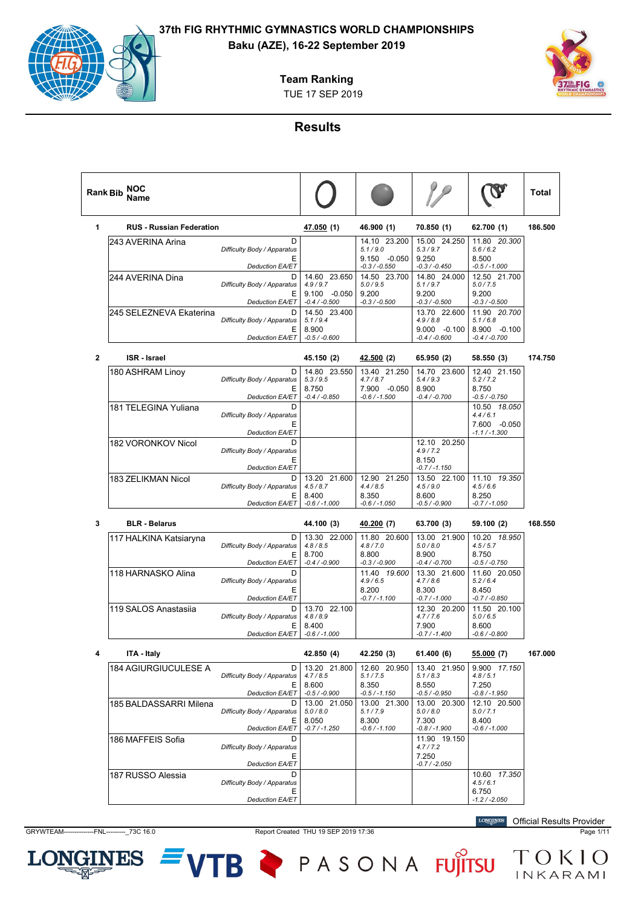# **Baku (AZE), 16-22 September 2019**

**Team Ranking**





#### **Results**

| <b>Rank Bib</b> | NOC<br>Name                     |                                                                  |                                                               |                                                          |                                                       |                                                       | Total   |
|-----------------|---------------------------------|------------------------------------------------------------------|---------------------------------------------------------------|----------------------------------------------------------|-------------------------------------------------------|-------------------------------------------------------|---------|
| 1               | <b>RUS - Russian Federation</b> |                                                                  | <u>47.050</u> (1)                                             | 46.900 (1)                                               | 70.850 (1)                                            | 62.700 (1)                                            | 186.500 |
|                 | 243 AVERINA Arina               | D<br>Difficulty Body / Apparatus                                 |                                                               | 14.10 23.200<br>5.1/9.0                                  | 15.00 24.250<br>5.3 / 9.7                             | 11.80 20.300<br>5.6/6.2                               |         |
|                 |                                 | Е<br><b>Deduction EA/ET</b>                                      |                                                               | 9.150 -0.050<br>$-0.3 / -0.550$                          | 9.250<br>$-0.3 / -0.450$                              | 8.500<br>$-0.5 / -1.000$                              |         |
|                 | 244 AVERINA Dina                | D<br>Difficulty Body / Apparatus<br>Е<br><b>Deduction EA/ET</b>  | 14.60 23.650<br>4.9/9.7<br>$9.100 - 0.050$<br>$-0.4 / -0.500$ | 14.50 23.700<br>5.0 / 9.5<br>9.200<br>$-0.3 / -0.500$    | 14.80 24.000<br>5.1 / 9.7<br>9.200<br>$-0.3 / -0.500$ | 12.50 21.700<br>5.0 / 7.5<br>9.200<br>$-0.3 / -0.500$ |         |
|                 | 245 SELEZNEVA Ekaterina         | D<br>Difficulty Body / Apparatus<br>Е                            | 14.50 23.400<br>5.1/9.4<br>8.900                              |                                                          | 13.70 22.600<br>4.9/8.8<br>$9.000 -0.100$             | 11.90 20.700<br>5.1/6.8<br>8.900 -0.100               |         |
|                 |                                 | <b>Deduction EA/ET</b>                                           | $-0.5 / -0.600$                                               |                                                          | $-0.4 / -0.600$                                       | $-0.4 / -0.700$                                       |         |
| $\mathbf{2}$    | <b>ISR</b> - Israel             |                                                                  | 45.150 (2)                                                    | <u>42.500</u> (2)                                        | 65.950 (2)                                            | 58.550 (3)                                            | 174.750 |
|                 | 180 ASHRAM Linoy                | D<br>Difficulty Body / Apparatus<br>Е<br><b>Deduction EA/ET</b>  | 14.80 23.550<br>5.3 / 9.5<br>8.750<br>$-0.4 / -0.850$         | 13.40 21.250<br>4.7/8.7<br>7.900 -0.050<br>-0.6 / -1.500 | 14.70 23.600<br>5.4/9.3<br>8.900<br>$-0.4 / -0.700$   | 12.40 21.150<br>5.2 / 7.2<br>8.750<br>-0.5 / -0.750   |         |
|                 | 181 TELEGINA Yuliana            | D<br>Difficulty Body / Apparatus<br>Е                            |                                                               |                                                          |                                                       | 10.50 18.050<br>4.4/6.1<br>7.600 -0.050               |         |
|                 | 182 VORONKOV Nicol              | <b>Deduction EA/ET</b><br>D                                      |                                                               |                                                          | 12.10 20.250                                          | $-1.1 / -1.300$                                       |         |
|                 |                                 | Difficulty Body / Apparatus<br>Е<br><b>Deduction EA/ET</b>       |                                                               |                                                          | 4.9/7.2<br>8.150<br>$-0.7 / -1.150$                   |                                                       |         |
|                 | 183 ZELIKMAN Nicol              | D<br>Difficulty Body / Apparatus<br>Е<br>Deduction EA/ET         | 13.20 21.600<br>4.5/8.7<br>8.400<br>$-0.6 / -1.000$           | 12.90 21.250<br>4.4/8.5<br>8.350<br>$-0.6 / -1.050$      | 13.50 22.100<br>4.5/9.0<br>8.600<br>-0.5 / -0.900     | 11.10 19.350<br>4.5/6.6<br>8.250<br>-0.7 / -1.050     |         |
| 3               | <b>BLR - Belarus</b>            |                                                                  | 44.100 (3)                                                    | 40.200 <sub>(7)</sub>                                    | 63.700 (3)                                            | 59.100 (2)                                            | 168.550 |
|                 | 117 HALKINA Katsiaryna          | D<br>Difficulty Body / Apparatus                                 | 13.30 22.000<br>4.8/8.5                                       | 11.80 20.600<br>4.8/7.0                                  | 13.00 21.900<br>5.0 / 8.0                             | 10.20 18.950<br>4.5/5.7                               |         |
|                 |                                 | Е                                                                | 8.700                                                         | 8.800                                                    | 8.900                                                 | 8.750                                                 |         |
|                 |                                 | Deduction EA/ET                                                  | $-0.4 / -0.900$                                               | $-0.3 / -0.900$                                          | $-0.4 / -0.700$                                       | $-0.5 / -0.750$                                       |         |
|                 | 118 HARNASKO Alina              | D<br>Difficulty Body / Apparatus<br>Е                            |                                                               | 11.40  19.600<br>4.9/6.5<br>8.200                        | 13.30 21.600<br>4.7/8.6<br>8.300                      | 11.60 20.050<br>5.2/6.4<br>8.450                      |         |
|                 | 119 SALOS Anastasiia            | <b>Deduction EA/ET</b><br>D<br>Difficulty Body / Apparatus       | 13.70 22.100<br>4.8/8.9                                       | $-0.7 / -1.100$                                          | -0.7 / -1.000<br>12.30 20.200<br>4.7/7.6              | $-0.7 / -0.850$<br>11.50 20.100<br>5.0/6.5            |         |
|                 |                                 | Е<br>Deduction EA/ET                                             | 8.400<br>$-0.6 / -1.000$                                      |                                                          | 7.900<br>$-0.7 / -1.400$                              | 8.600<br>-0.6 / -0.800                                |         |
|                 | ITA - Italy                     |                                                                  | 42.850 (4)                                                    | 42.250 (3)                                               | 61.400 (6)                                            | 55.000 (7)                                            | 167.000 |
|                 | 184 AGIURGIUCULESE A            | D<br>Difficulty Body / Apparatus                                 | 13.20 21.800<br>4.7/8.5                                       | 12.60 20.950<br>5.1 / 7.5                                | 13.40 21.950<br>5.1/8.3                               | 9.900 17.150<br>4.8/5.1                               |         |
|                 |                                 | Е.<br>Deduction EA/ET                                            | 8.600<br>$-0.5 / -0.900$                                      | 8.350<br>$-0.5 / -1.150$                                 | 8.550<br>$-0.5 / -0.950$                              | 7.250<br>$-0.8 / -1.950$                              |         |
|                 | 185 BALDASSARRI Milena          | D<br>Difficulty Body / Apparatus<br>E.<br><b>Deduction EA/ET</b> | 13.00 21.050<br>5.0 / 8.0<br>8.050<br>$-0.7 / -1.250$         | 13.00 21.300<br>5.1 / 7.9<br>8.300<br>$-0.6 / -1.100$    | 13.00 20.300<br>5.0 / 8.0<br>7.300<br>$-0.8 / -1.900$ | 12.10 20.500<br>5.0 / 7.1<br>8.400<br>$-0.6 / -1.000$ |         |
|                 | 186 MAFFEIS Sofia               | D<br>Difficulty Body / Apparatus                                 |                                                               |                                                          | 11.90 19.150<br>4.7/7.2                               |                                                       |         |
|                 |                                 | Ε<br>Deduction EA/ET                                             |                                                               |                                                          | 7.250<br>$-0.7 / -2.050$                              |                                                       |         |
|                 | 187 RUSSO Alessia               | D<br>Difficulty Body / Apparatus<br>Ε<br>Deduction EA/ET         |                                                               |                                                          |                                                       | 10.60 17.350<br>4.5/6.1<br>6.750<br>$-1.2 / -2.050$   |         |

LON

**INES** 

GRYWTEAM--------------FNL---------\_73C 16.0 Report Created THU 19 SEP 2019 17:36 Page 1/11

VTB PASONA FUJITSU TOKIO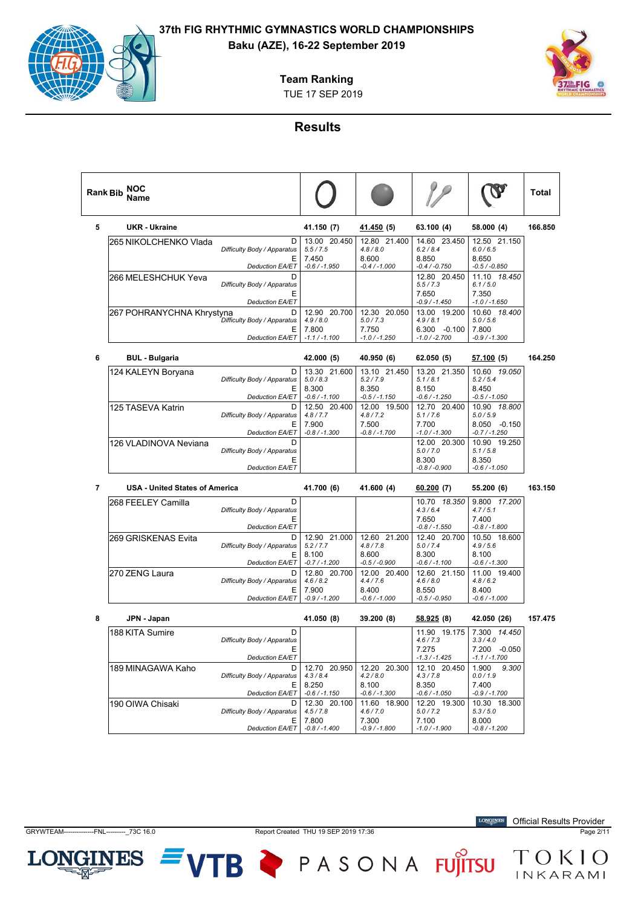

TUE 17 SEP 2019 **Team Ranking**

### **Results**

| <b>Rank Bib</b> | NOC<br>Name                           |                                                                 |                                                       |                                                       |                                                              |                                                               | Total   |
|-----------------|---------------------------------------|-----------------------------------------------------------------|-------------------------------------------------------|-------------------------------------------------------|--------------------------------------------------------------|---------------------------------------------------------------|---------|
| 5               | <b>UKR - Ukraine</b>                  |                                                                 | 41.150 (7)                                            | <u>41.450</u> (5)                                     | 63.100 (4)                                                   | 58.000 (4)                                                    | 166.850 |
|                 | 265 NIKOLCHENKO Vlada                 | D<br>Difficulty Body / Apparatus<br>Ε<br><b>Deduction EA/ET</b> | 13.00 20.450<br>5.5 / 7.5<br>7.450<br>$-0.6 / -1.950$ | 12.80 21.400<br>4.8/8.0<br>8.600<br>$-0.4 / -1.000$   | 14.60 23.450<br>6.2 / 8.4<br>8.850<br>$-0.4 / -0.750$        | 12.50 21.150<br>6.0 / 6.5<br>8.650<br>$-0.5 / -0.850$         |         |
|                 | 266 MELESHCHUK Yeva                   | D<br>Difficulty Body / Apparatus<br>Ε<br>Deduction EA/ET        |                                                       |                                                       | 12.80 20.450<br>5.5/7.3<br>7.650<br>-0.9 / -1.450            | 11.10 18.450<br>6.1/5.0<br>7.350<br>$-1.0 / -1.650$           |         |
|                 | 267 POHRANYCHNA Khrystyna             | D<br>Difficulty Body / Apparatus<br>Ε<br>Deduction EA/ET        | 12.90 20.700<br>4.9/8.0<br>7.800<br>$-1.1 / -1.100$   | 12.30 20.050<br>5.0 / 7.3<br>7.750<br>$-1.0 / -1.250$ | 13.00 19.200<br>4.9/8.1<br>$6.300 -0.100$<br>$-1.0 / -2.700$ | 10.60 18.400<br>5.0 / 5.6<br>7.800<br>$-0.9 / -1.300$         |         |
| 6               | <b>BUL - Bulgaria</b>                 |                                                                 | 42.000 (5)                                            | 40.950 (6)                                            | 62.050 (5)                                                   | <u>57.100</u> (5)                                             | 164.250 |
|                 | 124 KALEYN Boryana                    | D<br>Difficulty Body / Apparatus<br>Ε<br><b>Deduction EA/ET</b> | 13.30 21.600<br>5.0 / 8.3<br>8.300<br>$-0.6 / -1.100$ | 13.10 21.450<br>5.2 / 7.9<br>8.350<br>$-0.5 / -1.150$ | 13.20 21.350<br>5.1/8.1<br>8.150<br>$-0.6 / -1.250$          | 10.60 19.050<br>5.2/5.4<br>8.450<br>$-0.5 / -1.050$           |         |
|                 | 125 TASEVA Katrin                     | D<br>Difficulty Body / Apparatus<br>Ε<br><b>Deduction EA/ET</b> | 12.50 20.400<br>4.8 / 7.7<br>7.900<br>$-0.8 / -1.300$ | 12.00 19.500<br>4.8/7.2<br>7.500<br>$-0.8 / -1.700$   | 12.70 20.400<br>5.1 / 7.6<br>7.700<br>$-1.0 / -1.300$        | 10.90  18.800<br>5.0 / 5.9<br>8.050 -0.150<br>$-0.7 / -1.250$ |         |
|                 | 126 VLADINOVA Neviana                 | D<br>Difficulty Body / Apparatus<br>Ε<br><b>Deduction EA/ET</b> |                                                       |                                                       | 12.00 20.300<br>5.0 / 7.0<br>8.300<br>$-0.8 / -0.900$        | 10.90 19.250<br>5.1/5.8<br>8.350<br>$-0.6 / -1.050$           |         |
| 7               | <b>USA - United States of America</b> |                                                                 | 41.700 (6)                                            | 41.600 (4)                                            | 60.200 (7)                                                   | 55.200 (6)                                                    | 163.150 |
|                 | 268 FEELEY Camilla                    | D<br>Difficulty Body / Apparatus<br>Ε<br><b>Deduction EA/ET</b> |                                                       |                                                       | 10.70 18.350<br>4.3/6.4<br>7.650<br>$-0.8 / -1.550$          | 9.800 17.200<br>4.7/5.1<br>7.400<br>$-0.8 / -1.800$           |         |
|                 | 269 GRISKENAS Evita                   | D<br>Difficulty Body / Apparatus<br>Ε<br><b>Deduction EA/ET</b> | 12.90 21.000<br>5.2 / 7.7<br>8.100<br>$-0.7 / -1.200$ | 12.60 21.200<br>4.8/7.8<br>8.600<br>$-0.5 / -0.900$   | 12.40 20.700<br>5.0 / 7.4<br>8.300<br>$-0.6 / -1.100$        | 10.50 18.600<br>4.9/5.6<br>8.100<br>-0.6 / -1.300             |         |
|                 | 270 ZENG Laura                        | D<br>Difficulty Body / Apparatus<br>Ε<br><b>Deduction EA/ET</b> | 12.80 20.700<br>4.6/8.2<br>7.900<br>$-0.9 / -1.200$   | 12.00 20.400<br>4.4 / 7.6<br>8.400<br>$-0.6 / -1.000$ | 12.60 21.150<br>4.6 / 8.0<br>8.550<br>$-0.5 / -0.950$        | 11.00 19.400<br>4.8/6.2<br>8.400<br>$-0.6 / -1.000$           |         |
| 8               | JPN - Japan                           |                                                                 | 41.050 (8)                                            | 39.200 (8)                                            | 58.925 (8)                                                   | 42.050 (26)                                                   | 157.475 |
|                 | 188 KITA Sumire                       | D<br>Difficulty Body / Apparatus<br>Ε<br>Deduction EA/ET        |                                                       |                                                       | 11.90 19.175<br>4.6/7.3<br>7.275<br>$-1.3 / -1.425$          | 7.300 14.450<br>3.3/4.0<br>7.200 -0.050<br>$-1.1 / -1.700$    |         |
|                 | 189 MINAGAWA Kaho                     | D<br>Difficulty Body / Apparatus<br>Е<br>Deduction EA/ET        | 12.70 20.950<br>4.3/8.4<br>8.250<br>$-0.6 / -1.150$   | 12.20 20.300<br>4.2 / 8.0<br>8.100<br>$-0.6 / -1.300$ | 12.10 20.450<br>4.3 / 7.8<br>8.350<br>$-0.6 / -1.050$        | 9.300<br>1.900<br>0.0 / 1.9<br>7.400<br>$-0.9 / -1.700$       |         |
|                 | 190 OIWA Chisaki                      | D<br>Difficulty Body / Apparatus<br>Ε                           | 12.30 20.100<br>4.5 / 7.8<br>7.800<br>$-0.8 / -1.400$ | 11.60 18.900<br>4.6 / 7.0<br>7.300                    | 12.20 19.300<br>5.0 / 7.2<br>7.100                           | 10.30 18.300<br>5.3 / 5.0<br>8.000<br>$-0.8 / -1.200$         |         |
|                 |                                       | Deduction EA/ET                                                 |                                                       | $-0.9 / -1.800$                                       | $-1.0 / -1.900$                                              |                                                               |         |

LON

**INES** 

GRYWTEAM--------------FNL---------\_73C 16.0 Report Created THU 19 SEP 2019 17:36 Page 2/11

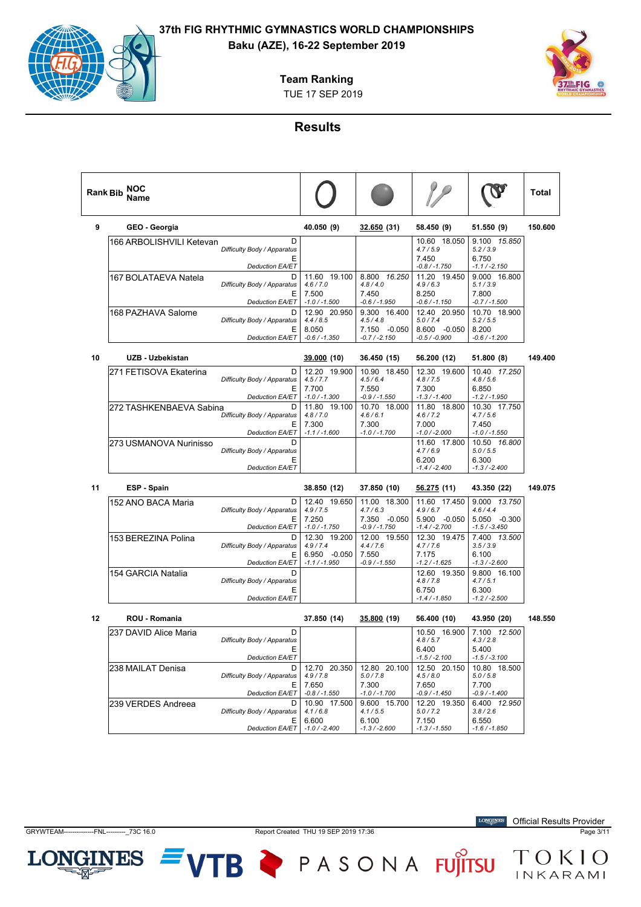**Team Ranking**





#### **Results**

| <b>Rank Bib</b> | NOC<br>Name              |                                                                                           |                                                       |                                                            |                                                                          |                                                                          | Total   |
|-----------------|--------------------------|-------------------------------------------------------------------------------------------|-------------------------------------------------------|------------------------------------------------------------|--------------------------------------------------------------------------|--------------------------------------------------------------------------|---------|
| 9               | GEO - Georgia            |                                                                                           | 40.050 (9)                                            | 32.650 (31)                                                | 58.450 (9)                                                               | 51.550 (9)                                                               | 150.600 |
|                 | 166 ARBOLISHVILI Ketevan | D<br>Difficulty Body / Apparatus<br>Ε<br><b>Deduction EA/ET</b>                           |                                                       |                                                            | 10.60 18.050<br>4.7 / 5.9<br>7.450<br>$-0.8 / -1.750$                    | 9.100 15.850<br>5.2 / 3.9<br>6.750<br>$-1.1 / -2.150$                    |         |
|                 | 167 BOLATAEVA Natela     | D<br>Difficulty Body / Apparatus<br>Ε<br><b>Deduction EA/ET</b>                           | 11.60 19.100<br>4.6 / 7.0<br>7.500<br>$-1.0 / -1.500$ | 8.800 16.250<br>4.8/4.0<br>7.450<br>$-0.6 / -1.950$        | 11.20 19.450<br>4.9/6.3<br>8.250<br>$-0.6 / -1.150$                      | 9.000 16.800<br>5.1 / 3.9<br>7.800<br>$-0.7 / -1.500$                    |         |
|                 | 168 PAZHAVA Salome       | D<br>Difficulty Body / Apparatus<br>Ε<br>Deduction EA/ET                                  | 12.90 20.950<br>4.4/8.5<br>8.050<br>$-0.6 / -1.350$   | 9.300 16.400<br>4.5/4.8<br>7.150 -0.050<br>$-0.7 / -2.150$ | 12.40 20.950<br>5.0 / 7.4<br>8.600 -0.050<br>$-0.5 / -0.900$             | 10.70 18.900<br>5.2 / 5.5<br>8.200<br>$-0.6 / -1.200$                    |         |
| 10              | UZB - Uzbekistan         |                                                                                           | 39.000 (10)                                           | 36.450 (15)                                                | 56.200 (12)                                                              | 51.800 (8)                                                               | 149.400 |
|                 | 271 FETISOVA Ekaterina   | D<br>Difficulty Body / Apparatus<br>Ε<br><b>Deduction EA/ET</b>                           | 12.20 19.900<br>4.5/7.7<br>7.700<br>$-1.0 / -1.300$   | 10.90 18.450<br>4.5/6.4<br>7.550<br>$-0.9 / -1.550$        | 12.30 19.600<br>4.8 / 7.5<br>7.300<br>$-1.3 / -1.400$                    | 10.40 17.250<br>4.8/5.6<br>6.850<br>$-1.2 / -1.950$                      |         |
|                 | 272 TASHKENBAEVA Sabina  | D<br>Difficulty Body / Apparatus<br>Е<br><b>Deduction EA/ET</b>                           | 11.80 19.100<br>4.8/7.0<br>7.300<br>$-1.1 / -1.600$   | 10.70 18.000<br>4.6/6.1<br>7.300<br>$-1.0 / -1.700$        | 11.80 18.800<br>4.6/7.2<br>7.000<br>$-1.0 / -2.000$                      | 10.30 17.750<br>4.7/5.6<br>7.450<br>$-1.0 / -1.550$                      |         |
|                 | 273 USMANOVA Nurinisso   | D<br>Difficulty Body / Apparatus<br>Ε<br><b>Deduction EA/ET</b>                           |                                                       |                                                            | 11.60 17.800<br>4.7/6.9<br>6.200<br>$-1.4 / -2.400$                      | 10.50  16.800<br>5.0 / 5.5<br>6.300<br>$-1.3 / -2.400$                   |         |
| 11              | ESP - Spain              |                                                                                           | 38.850 (12)                                           | 37.850 (10)                                                | <u>56.275</u> (11)                                                       | 43.350 (22)                                                              | 149.075 |
|                 | 152 ANO BACA Maria       | D<br>Difficulty Body / Apparatus<br>Ε<br><b>Deduction EA/ET</b>                           | 12.40 19.650<br>4.9 / 7.5<br>7.250<br>$-1.0 / -1.750$ | 11.00 18.300<br>4.7/6.3<br>7.350 -0.050<br>$-0.9 / -1.750$ | 11.60 17.450<br>4.9/6.7<br>5.900 -0.050<br>$-1.4 / -2.700$               | 9.000 13.750<br>4.6/4.4<br>5.050 -0.300<br>$-1.5 / -3.450$               |         |
|                 | 153 BEREZINA Polina      | D<br>Difficulty Body / Apparatus<br>Ε                                                     | 12.30 19.200<br>4.9/7.4<br>6.950 -0.050               | 12.00 19.550<br>4.4/7.6<br>7.550                           | 12.30 19.475<br>4.7 / 7.6<br>7.175                                       | 7.400 13.500<br>3.5 / 3.9<br>6.100                                       |         |
|                 | 154 GARCIA Natalia       | Deduction EA/ET<br>D<br>Difficulty Body / Apparatus<br>Ε<br>Deduction EA/ET               | $-1.1 / -1.950$                                       | $-0.9 / -1.550$                                            | $-1.2 / -1.625$<br>12.60 19.350<br>4.8 / 7.8<br>6.750<br>$-1.4 / -1.850$ | $-1.3 / -2.600$<br>9.800 16.100<br>4.7/5.1<br>6.300<br>$-1.2 / -2.500$   |         |
| 12              | <b>ROU - Romania</b>     |                                                                                           | 37.850 (14)                                           | 35.800 (19)                                                | 56.400 (10)                                                              | 43.950 (20)                                                              | 148.550 |
|                 | 237 DAVID Alice Maria    | D<br>Difficulty Body / Apparatus<br>Е                                                     |                                                       |                                                            | 10.50 16.900<br>4.8/5.7<br>6.400                                         | 7.100 12.500<br>4.3 / 2.8<br>5.400                                       |         |
|                 | 238 MAILAT Denisa        | <b>Deduction EA/ET</b><br>D<br>Difficulty Body / Apparatus<br>Ε<br><b>Deduction EA/ET</b> | 12.70 20.350<br>4.9 / 7.8<br>7.650<br>$-0.8 / -1.550$ | 12.80 20.100<br>5.0 / 7.8<br>7.300<br>$-1.0 / -1.700$      | $-1.5 / -2.100$<br>12.50 20.150<br>4.5/8.0<br>7.650<br>$-0.9 / -1.450$   | $-1.5 / -3.100$<br>10.80 18.500<br>5.0 / 5.8<br>7.700<br>$-0.9 / -1.400$ |         |
|                 | 239 VERDES Andreea       | D<br>Difficulty Body / Apparatus<br>Е                                                     | 10.90 17.500<br>4.1/6.8<br>6.600                      | 9.600 15.700<br>4.1 / 5.5<br>6.100                         | 12.20 19.350<br>5.0 / 7.2<br>7.150                                       | 6.400 12.950<br>3.8/2.6<br>6.550                                         |         |
|                 |                          | <b>Deduction EA/ET</b>                                                                    | $-1.0 / -2.400$                                       | $-1.3 / -2.600$                                            | $-1.3 / -1.550$                                                          | $-1.6 / -1.850$                                                          |         |

LON

**INES** 

GRYWTEAM--------------FNL---------\_73C 16.0 Report Created THU 19 SEP 2019 17:36 Page 3/11

VTB PASONA FUJITSU TOKIO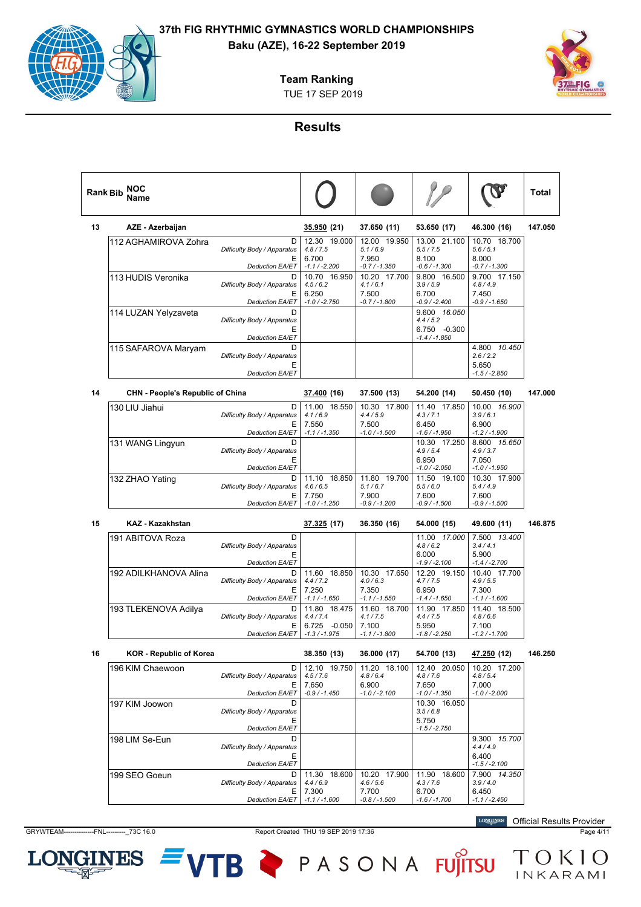## **Baku (AZE), 16-22 September 2019**

**Team Ranking**

TUE 17 SEP 2019



## **Results**

|    | NOC<br><b>Rank Bib</b><br>Name          |                                                                                           |                                                     |                                                     |                                                                        |                                                                        | Total   |
|----|-----------------------------------------|-------------------------------------------------------------------------------------------|-----------------------------------------------------|-----------------------------------------------------|------------------------------------------------------------------------|------------------------------------------------------------------------|---------|
| 13 | AZE - Azerbaijan                        |                                                                                           | 35.950 (21)                                         | 37.650 (11)                                         | 53.650 (17)                                                            | 46.300 (16)                                                            | 147.050 |
|    | 112 AGHAMIROVA Zohra                    | D<br>Difficulty Body / Apparatus<br>Ε                                                     | 12.30 19.000<br>4.8 / 7.5<br>6.700                  | 12.00 19.950<br>5.1/6.9<br>7.950                    | 13.00 21.100<br>5.5 / 7.5<br>8.100                                     | 10.70 18.700<br>5.6/5.1<br>8.000                                       |         |
|    | 113 HUDIS Veronika                      | Deduction EA/ET<br>D<br>Difficulty Body / Apparatus<br>Ε                                  | $-1.1 / -2.200$<br>10.70 16.950<br>4.5/6.2<br>6.250 | $-0.7 / -1.350$<br>10.20 17.700<br>4.1/6.1<br>7.500 | $-0.6 / -1.300$<br>9.800 16.500<br>3.9/5.9<br>6.700                    | $-0.7 / -1.300$<br>9.700 17.150<br>4.8/4.9<br>7.450                    |         |
|    | 114 LUZAN Yelyzaveta                    | <b>Deduction EA/ET</b><br>D<br>Difficulty Body / Apparatus<br>Ε                           | $-1.0 / -2.750$                                     | $-0.7 / -1.800$                                     | $-0.9 / -2.400$<br>9.600 16.050<br>4.4/5.2<br>6.750 -0.300             | $-0.9 / -1.650$                                                        |         |
|    | 115 SAFAROVA Maryam                     | <b>Deduction EA/ET</b><br>D<br>Difficulty Body / Apparatus<br>Ε<br>Deduction EA/ET        |                                                     |                                                     | $-1.4 / -1.850$                                                        | 4.800 10.450<br>2.6 / 2.2<br>5.650<br>$-1.5 / -2.850$                  |         |
| 14 | <b>CHN - People's Republic of China</b> |                                                                                           | 37.400 (16)                                         | 37.500 (13)                                         | 54.200 (14)                                                            | 50.450 (10)                                                            | 147.000 |
|    | 130 LIU Jiahui                          | D<br>Difficulty Body / Apparatus<br>Ε                                                     | 11.00 18.550<br>4.1/6.9<br>7.550                    | 10.30 17.800<br>4.4/5.9<br>7.500                    | 11.40 17.850<br>4.3 / 7.1<br>6.450                                     | 10.00 16.900<br>3.9/6.1<br>6.900                                       |         |
|    | 131 WANG Lingyun                        | <b>Deduction EA/ET</b><br>D<br>Difficulty Body / Apparatus<br>Ε                           | $-1.1 / -1.350$                                     | $-1.0 / -1.500$                                     | $-1.6 / -1.950$<br>10.30 17.250<br>4.9/5.4<br>6.950                    | $-1.2 / -1.900$<br>8.600 15.650<br>4.9 / 3.7<br>7.050                  |         |
|    | 132 ZHAO Yating                         | <b>Deduction EA/ET</b><br>D<br>Difficulty Body / Apparatus<br>Е<br><b>Deduction EA/ET</b> | 11.10 18.850<br>4.6/6.5<br>7.750<br>$-1.0 / -1.250$ | 11.80 19.700<br>5.1/6.7<br>7.900<br>$-0.9 / -1.200$ | $-1.0 / -2.050$<br>11.50 19.100<br>5.5/6.0<br>7.600<br>$-0.9 / -1.500$ | $-1.0 / -1.950$<br>10.30 17.900<br>5.4/4.9<br>7.600<br>$-0.9 / -1.500$ |         |
| 15 | <b>KAZ - Kazakhstan</b>                 |                                                                                           | 37.325 (17)                                         | 36.350 (16)                                         | 54.000 (15)                                                            | 49.600 (11)                                                            | 146.875 |
|    | 191 ABITOVA Roza                        | D<br>Difficulty Body / Apparatus<br>Ε                                                     |                                                     |                                                     | 11.00 17.000<br>4.8/6.2<br>6.000                                       | 7.500 13.400<br>3.4/4.1<br>5.900                                       |         |
|    | 192 ADILKHANOVA Alina                   | <b>Deduction EA/ET</b><br>D<br>Difficulty Body / Apparatus<br>Ε                           | 11.60 18.850<br>4.4/7.2<br>7.250                    | 10.30 17.650<br>4.0/6.3<br>7.350                    | $-1.9 / -2.100$<br>12.20 19.150<br>4.7 / 7.5<br>6.950                  | $-1.4 / -2.700$<br>10.40 17.700<br>4.9/5.5<br>7.300                    |         |
|    | 193 TLEKENOVA Adilya                    | Deduction EA/ET<br>D                                                                      | $-1.1 / -1.650$<br>11.80 18.475                     | $-1.1 / -1.550$<br>11.60 18.700                     | $-1.4 / -1.650$<br>11.90 17.850                                        | $-1.1 / -1.600$<br>11.40 18.500                                        |         |
|    |                                         | Difficulty Body / Apparatus<br>Ε<br><b>Deduction EA/ET</b>                                | 4.4/7.4<br>6.725 -0.050<br>$-1.3 / -1.975$          | 4.1 / 7.5<br>7.100<br>$-1.1 / -1.800$               | 4.4/7.5<br>5.950<br>$-1.8 / -2.250$                                    | 4.8/6.6<br>7.100<br>$-1.2 / -1.700$                                    |         |
| 16 | KOR - Republic of Korea                 |                                                                                           | 38.350 (13)                                         | 36.000 (17)                                         | 54.700 (13)                                                            | <u>47.250</u> (12)                                                     | 146.250 |
|    | 196 KIM Chaewoon                        | D<br>Difficulty Body / Apparatus<br>Е                                                     | 12.10 19.750<br>4.5 / 7.6<br>7.650                  | 11.20 18.100<br>4.8/6.4<br>6.900                    | 12.40 20.050<br>4.8 / 7.6<br>7.650                                     | 10.20 17.200<br>4.8 / 5.4<br>7.000                                     |         |
|    | 197 KIM Joowon                          | <b>Deduction EA/ET</b><br>D<br>Difficulty Body / Apparatus<br>Ε                           | $-0.9 / -1.450$                                     | $-1.0 / -2.100$                                     | $-1.0 / -1.350$<br>10.30 16.050<br>3.5/6.8<br>5.750                    | $-1.0 / -2.000$                                                        |         |
|    | 198 LIM Se-Eun                          | <b>Deduction EA/ET</b><br>D<br>Difficulty Rody / Apparatus                                |                                                     |                                                     | $-1.5 / -2.750$                                                        | 9.300 15.700<br>A/AQ                                                   |         |

E *Difficulty Body / Apparatus Deduction EA/ET* 6.400 *4.4 / 4.9 -1.5 / -2.100* 199 SEO Goeun D E *Deduction EA/ET Difficulty Body / Apparatus*  $11.30$ 7.300 18.600 *4.4 / 6.9 -1.1 / -1.600* 10.20 17.900 7.700 *-0.8 / -1.500 4.6 / 5.6* 11.90 18.600 6.700 *-1.6 / -1.700 4.3 / 7.6* 7.900 *14.350* 6.450 *3.9 / 4.0 -1.1 / -2.450*

GRYWTEAM--------------FNL---------\_73C 16.0 Report Created THU 19 SEP 2019 17:36 Page 4/11

逖

LON

**JGINES** 

TB

PASONA FUJITSU

**LONGINES** Official Results Provider

TOKIO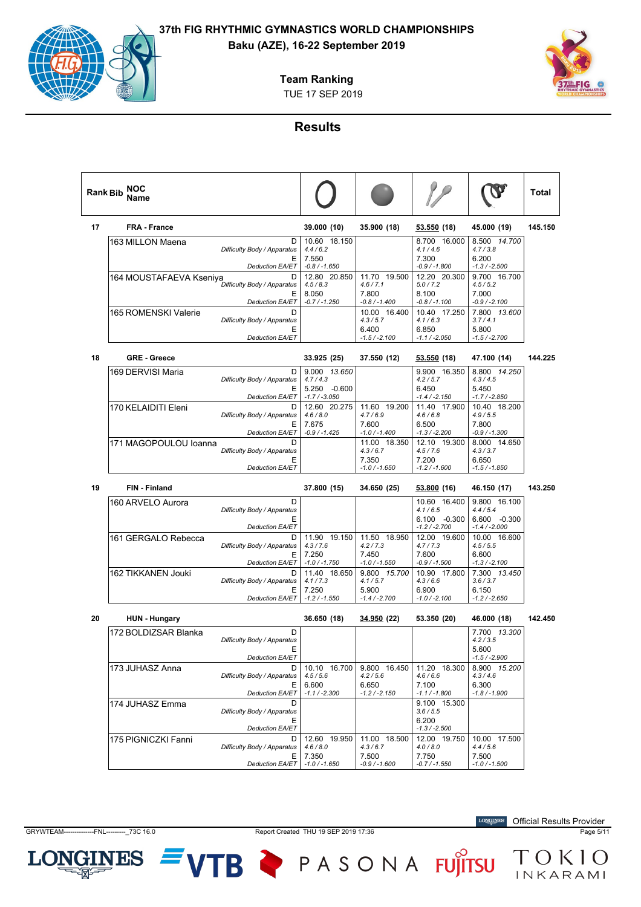

**Team Ranking**

TUE 17 SEP 2019

## **Results**

| <b>Rank Bib</b> | NOC<br>Name             |                                       |                                         |                                  |                                    |                                    | Total   |
|-----------------|-------------------------|---------------------------------------|-----------------------------------------|----------------------------------|------------------------------------|------------------------------------|---------|
| 17              | <b>FRA - France</b>     |                                       | 39.000 (10)                             | 35.900 (18)                      | <u>53.550</u> (18)                 | 45.000 (19)                        | 145.150 |
|                 | 163 MILLON Maena        | D<br>Difficulty Body / Apparatus<br>Ε | 10.60 18.150<br>4.4/6.2<br>7.550        |                                  | 8.700 16.000<br>4.1/4.6<br>7.300   | 8.500 14.700<br>4.7 / 3.8<br>6.200 |         |
|                 |                         | <b>Deduction EA/ET</b>                | $-0.8 / -1.650$                         |                                  | $-0.9 / -1.800$                    | $-1.3 / -2.500$                    |         |
|                 | 164 MOUSTAFAEVA Kseniya | D<br>Difficulty Body / Apparatus      | 12.80 20.850<br>4.5/8.3                 | 11.70 19.500<br>4.6 / 7.1        | 12.20 20.300<br>5.0 / 7.2          | 9.700 16.700<br>4.5/5.2            |         |
|                 |                         | Ε<br><b>Deduction EA/ET</b>           | 8.050<br>$-0.7 / -1.250$                | 7.800<br>-0.8 / -1.400           | 8.100<br>$-0.8 / -1.100$           | 7.000<br>$-0.9 / -2.100$           |         |
|                 | 165 ROMENSKI Valerie    | D<br>Difficulty Body / Apparatus      |                                         | 10.00 16.400<br>4.3 / 5.7        | 10.40 17.250<br>4.1/6.3            | 7.800 13.600<br>3.7/4.1            |         |
|                 |                         | Ε<br><b>Deduction EA/ET</b>           |                                         | 6.400<br>$-1.5 / -2.100$         | 6.850<br>$-1.1 / -2.050$           | 5.800<br>$-1.5 / -2.700$           |         |
| 18              | <b>GRE - Greece</b>     |                                       | 33.925 (25)                             | 37.550 (12)                      | <u>53.550</u> (18)                 | 47.100 (14)                        | 144.225 |
|                 | 169 DERVISI Maria       | D<br>Difficulty Body / Apparatus<br>Е | 9.000 13.650<br>4.7/4.3<br>5.250 -0.600 |                                  | 9.900 16.350<br>4.2 / 5.7<br>6.450 | 8.800 14.250<br>4.3/4.5<br>5.450   |         |
|                 |                         | <b>Deduction EA/ET</b>                | $-1.7 / -3.050$                         |                                  | $-1.4 / -2.150$                    | $-1.7 / -2.850$                    |         |
|                 | 170 KELAIDITI Eleni     | D<br>Difficulty Body / Apparatus      | 12.60 20.275<br>4.6 / 8.0               | 11.60 19.200<br>4.7/6.9          | 11.40 17.900<br>4.6/6.8            | 10.40 18.200<br>4.9/5.5            |         |
|                 |                         | Ε<br><b>Deduction EA/ET</b>           | 7.675<br>$-0.9 / -1.425$                | 7.600<br>$-1.0 / -1.400$         | 6.500<br>$-1.3 / -2.200$           | 7.800<br>$-0.9 / -1.300$           |         |
|                 | 171 MAGOPOULOU Ioanna   | D<br>Difficulty Body / Apparatus      |                                         | 11.00 18.350<br>4.3/6.7          | 12.10 19.300<br>4.5/7.6            | 8.000 14.650<br>4.3 / 3.7          |         |
|                 |                         | Ε<br><b>Deduction EA/ET</b>           |                                         | 7.350<br>$-1.0 / -1.650$         | 7.200<br>$-1.2 / -1.600$           | 6.650<br>$-1.5 / -1.850$           |         |
|                 |                         |                                       |                                         |                                  |                                    |                                    |         |
| 19              | <b>FIN - Finland</b>    |                                       | 37.800 (15)                             | 34.650 (25)                      | <u>53.800</u> (16)                 | 46.150 (17)                        | 143.250 |
|                 | 160 ARVELO Aurora       | D<br>Difficulty Body / Apparatus      |                                         |                                  | 10.60 16.400<br>4.1/6.5            | 9.800 16.100<br>4.4/5.4            |         |
|                 |                         | Е<br><b>Deduction EA/ET</b>           |                                         |                                  | $6.100 - 0.300$<br>$-1.2 / -2.700$ | 6.600 -0.300<br>$-1.4/ -2.000$     |         |
|                 | 161 GERGALO Rebecca     | D<br>Difficulty Body / Apparatus      | 11.90 19.150<br>4.3/7.6                 | 11.50 18.950<br>4.2 / 7.3        | 12.00 19.600<br>4.7/7.3            | 10.00 16.600<br>4.5/5.5            |         |
|                 |                         | Е<br>Deduction EA/ET                  | 7.250<br>$-1.0 / -1.750$                | 7.450<br>$-1.0 / -1.550$         | 7.600<br>$-0.9 / -1.500$           | 6.600<br>$-1.3 / -2.100$           |         |
|                 | 162 TIKKANEN Jouki      | D<br>Difficulty Body / Apparatus      | 11.40 18.650<br>4.1 / 7.3               | 9.800 15.700<br>4.1 / 5.7        | 10.90 17.800<br>4.3/6.6            | 7.300 13.450<br>3.6 / 3.7          |         |
|                 |                         | Е<br>Deduction EA/ET                  | 7.250<br>$-1.2 / -1.550$                | 5.900<br>$-1.4 / -2.700$         | 6.900<br>$-1.0 / -2.100$           | 6.150<br>$-1.2 / -2.650$           |         |
| 20              | <b>HUN - Hungary</b>    |                                       | 36.650 (18)                             | <u>34.950</u> (22)               | 53.350 (20)                        | 46.000 (18)                        | 142.450 |
|                 | 172 BOLDIZSAR Blanka    | D<br>Difficulty Body / Apparatus      |                                         |                                  |                                    | 7.700 13.300<br>4.2 / 3.5          |         |
|                 |                         | Е<br>Deduction EA/ET                  |                                         |                                  |                                    | 5.600<br>$-1.5 / -2.900$           |         |
|                 | 173 JUHASZ Anna         | D<br>Difficulty Body / Apparatus      | 10.10 16.700<br>4.5/5.6                 | 9.800 16.450<br>4.2 / 5.6        | 11.20 18.300<br>4.6/6.6            | 8.900 15.200<br>4.3/4.6            |         |
|                 |                         | Ε<br><b>Deduction EA/ET</b>           | 6.600<br>$-1.1 / -2.300$                | 6.650<br>$-1.2 / -2.150$         | 7.100<br>$-1.1 / -1.800$           | 6.300<br>$-1.8 / -1.900$           |         |
|                 | 174 JUHASZ Emma         | D<br>Difficulty Body / Apparatus      |                                         |                                  | 9.100 15.300<br>3.6 / 5.5          |                                    |         |
|                 |                         | Ε<br><b>Deduction EA/ET</b>           |                                         |                                  | 6.200<br>$-1.3 / -2.500$           |                                    |         |
|                 | 175 PIGNICZKI Fanni     | D<br>Difficulty Body / Apparatus<br>Ε | 12.60 19.950<br>4.6 / 8.0<br>7.350      | 11.00 18.500<br>4.3/6.7<br>7.500 | 12.00 19.750<br>4.0 / 8.0<br>7.750 | 10.00 17.500<br>4.4/5.6<br>7.500   |         |

GRYWTEAM--------------FNL---------\_73C 16.0 Report Created THU 19 SEP 2019 17:36 Page 5/11

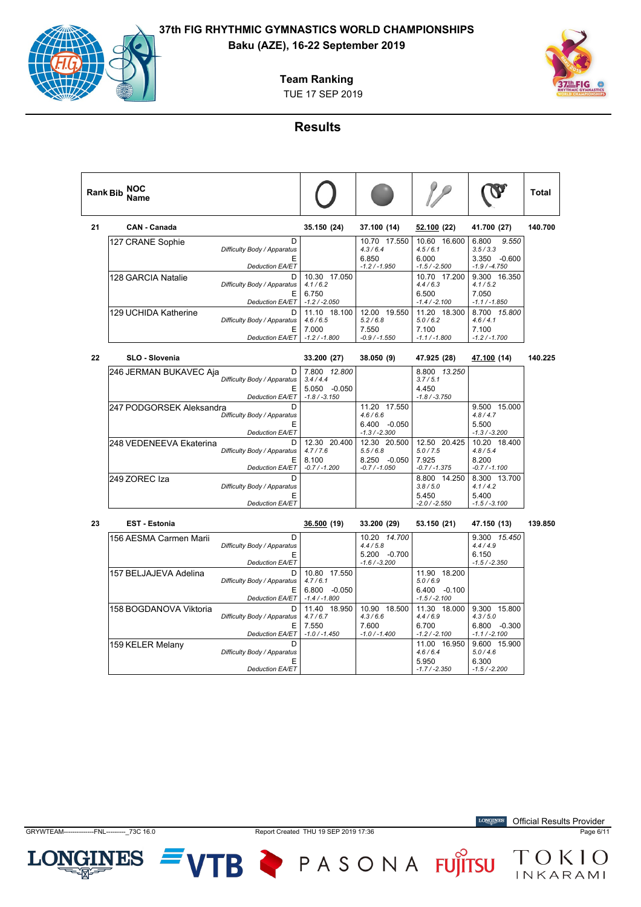## **Baku (AZE), 16-22 September 2019**

**Team Ranking**





## **Results**

| <b>Rank Bib</b> | <b>NOC</b><br>Name     |                                   |                          |                            |                            |                                      | Total   |
|-----------------|------------------------|-----------------------------------|--------------------------|----------------------------|----------------------------|--------------------------------------|---------|
| 21              | <b>CAN - Canada</b>    |                                   | 35.150 (24)              | 37.100 (14)                | 52.100(22)                 | 41.700 (27)                          | 140.700 |
|                 | 127 CRANE Sophie       | D<br>Difficulty Body / Apparatus  |                          | 10.70 17.550<br>4.3/6.4    | 10.60<br>16.600<br>4.5/6.1 | 6.800<br>9.550<br>3.5/3.3            |         |
|                 |                        | E<br><b>Deduction EA/ET</b>       |                          | 6.850<br>$-1.2 / -1.950$   | 6.000<br>$-1.5 / -2.500$   | $-0.600$<br>3.350<br>$-1.9 / -4.750$ |         |
|                 | 128 GARCIA Natalie     | D<br>Difficulty Body / Apparatus  | 10.30 17.050<br>4.1/6.2  |                            | 10.70 17.200<br>4.4/6.3    | 9.300 16.350<br>4.1/5.2              |         |
|                 |                        | Е<br><b>Deduction EA/ET</b>       | 6.750<br>$-1.2 / -2.050$ |                            | 6.500<br>$-1.4/ -2.100$    | 7.050<br>$-1.1 / -1.850$             |         |
|                 | 129 UCHIDA Katherine   | D.<br>Difficulty Body / Apparatus | 11.10 18.100<br>4.6/6.5  | 19.550<br>12.00<br>5.2/6.8 | 11.20 18.300<br>5.0/6.2    | 8.700 15.800<br>4.6/4.1              |         |
|                 |                        | F<br>Deduction EA/ET              | 7.000<br>$-1.2 / -1.800$ | 7.550<br>$-0.9 / -1.550$   | 7.100<br>$-1.1 / -1.800$   | 7.100<br>$-1.2 / -1.700$             |         |
| 22              | <b>SLO - Slovenia</b>  |                                   | 33.200 (27)              | 38.050 (9)                 | 47.925 (28)                | 47.100 (14)                          | 140.225 |
|                 | 246 JERMAN BUKAVEC Aja | D<br>_________                    | 7.800 12.800             |                            | 8.800 13.250               |                                      |         |

| 246 JERMAN BUKAVEC Aja   | D                           | 7.800 12.800      |                   | 8.800 13.250      |                 |
|--------------------------|-----------------------------|-------------------|-------------------|-------------------|-----------------|
|                          | Difficulty Body / Apparatus | 3.4/4.4           |                   | 3.7/5.1           |                 |
|                          | Е                           | $-0.050$<br>5.050 |                   | 4.450             |                 |
|                          | <b>Deduction EA/ET</b>      | $-1.8 / -3.150$   |                   | $-1.8/ -3.750$    |                 |
| 247 PODGORSEK Aleksandra |                             |                   | 11.20 17.550      |                   | 9.500<br>15.000 |
|                          | Difficulty Body / Apparatus |                   | 4.6/6.6           |                   | 4.8/4.7         |
|                          |                             |                   | 6.400<br>$-0.050$ |                   | 5.500           |
|                          | <b>Deduction EA/ET</b>      |                   | $-1.3 / -2.300$   |                   | $-1.3 / -3.200$ |
| 248 VEDENEEVA Ekaterina  | D                           | 12.30 20.400      | 12.30 20.500      | 12.50 20.425      | 10.20 18.400    |
|                          | Difficulty Body / Apparatus | 4.7/7.6           | 5.5/6.8           | 5.0 / 7.5         | 4.8/5.4         |
|                          | E                           | 8.100             | $-0.050$<br>8.250 | 7.925             | 8.200           |
|                          | <b>Deduction EA/ET</b>      | $-0.7/ -1.200$    | $-0.7/ -1.050$    | $-0.7/ -1.375$    | $-0.7/ -1.100$  |
| 249 ZOREC Iza            |                             |                   |                   | 8.800 14.250      | 8.300 13.700    |
|                          | Difficulty Body / Apparatus |                   |                   | 3.8/5.0           | 4.1/4.2         |
|                          |                             |                   |                   | 5.450             | 5.400           |
|                          | <b>Deduction EA/ET</b>      |                   |                   | $-2.0$ / $-2.550$ | $-1.5/ -3.100$  |

| 23 | <b>EST - Estonia</b>   |                                  | 36.500 (19)                         | 33.200 (29)                    | 53.150 (21)                         | 47.150 (13)                         | 139.850 |
|----|------------------------|----------------------------------|-------------------------------------|--------------------------------|-------------------------------------|-------------------------------------|---------|
|    | 156 AESMA Carmen Marii | D<br>Difficulty Body / Apparatus |                                     | 10.20 14.700<br>4.4/5.8        |                                     | 9.300 15.450<br>4.4/4.9             |         |
|    |                        | Е<br><b>Deduction EA/ET</b>      |                                     | 5.200 -0.700<br>$-1.6/ -3.200$ |                                     | 6.150<br>$-1.5/ -2.350$             |         |
|    | 157 BELJAJEVA Adelina  | D<br>Difficulty Body / Apparatus | 10.80<br>17.550<br>4.7/6.1          |                                | 11.90<br>18.200<br>5.0/6.9          |                                     |         |
|    |                        | Е<br><b>Deduction EA/ET</b>      | $-0.050$<br>6.800<br>$-1.4/ -1.800$ |                                | 6.400<br>$-0.100$<br>$-1.5/ -2.100$ |                                     |         |
|    | 158 BOGDANOVA Viktoria | D<br>Difficulty Body / Apparatus | 11.40 18.950<br>4.7/6.7             | 10.90 18.500<br>4.3/6.6        | 11.30 18.000<br>4.4/6.9             | 9.300<br>15.800<br>4.3/5.0          |         |
|    |                        | Е<br><b>Deduction EA/ET</b>      | 7.550<br>$-1.0$ / $-1.450$          | 7.600<br>$-1.0$ / $-1.400$     | 6.700<br>$-1.2/ -2.100$             | $-0.300$<br>6.800<br>$-1.1/ -2.100$ |         |
|    | 159 KELER Melany       | D<br>Difficulty Body / Apparatus |                                     |                                | 11.00 16.950<br>4.6/6.4             | 9.600 15.900<br>5.0/4.6             |         |
|    |                        | E<br><b>Deduction EA/ET</b>      |                                     |                                | 5.950<br>$-1.7/ -2.350$             | 6.300<br>$-1.5/ -2.200$             |         |

Official Results Provider



GRYWTEAM--------------FNL---------\_73C 16.0 Report Created THU 19 SEP 2019 17:36 Page 6/11

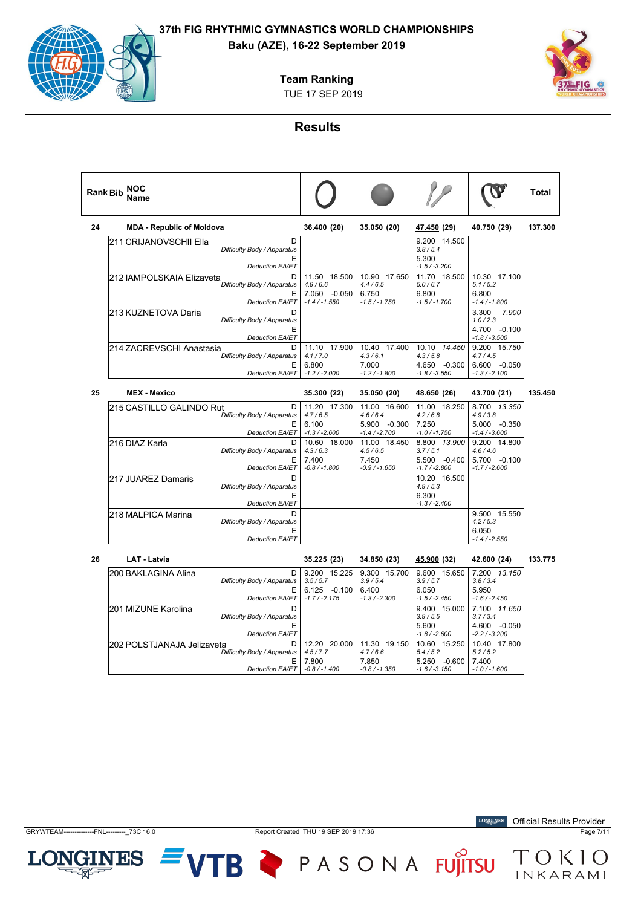## **Team Ranking**

TUE 17 SEP 2019



## **Results**

|    | NOC<br><b>Rank Bib</b><br>Name                                                               |                                                            |                                                            |                                                            |                                                                | <b>Total</b> |
|----|----------------------------------------------------------------------------------------------|------------------------------------------------------------|------------------------------------------------------------|------------------------------------------------------------|----------------------------------------------------------------|--------------|
| 24 | <b>MDA - Republic of Moldova</b>                                                             | 36.400 (20)                                                | 35.050 (20)                                                | 47.450 (29)                                                | 40.750 (29)                                                    | 137.300      |
|    | D<br>211 CRIJANOVSCHII Ella<br>Difficulty Body / Apparatus<br>E<br><b>Deduction EA/ET</b>    |                                                            |                                                            | 9.200 14.500<br>3.8/5.4<br>5.300<br>$-1.5 / -3.200$        |                                                                |              |
|    | 212 IAMPOLSKAIA Elizaveta<br>D<br>Difficulty Body / Apparatus<br>Ε<br><b>Deduction EA/ET</b> | 11.50 18.500<br>4.9/6.6<br>7.050 -0.050<br>$-1.4 / -1.550$ | 10.90 17.650<br>4.4/6.5<br>6.750<br>$-1.5 / -1.750$        | 11.70 18.500<br>5.0/6.7<br>6.800<br>$-1.5 / -1.700$        | 10.30 17.100<br>5.1/5.2<br>6.800<br>$-1.4 / -1.800$            |              |
|    | 213 KUZNETOVA Daria<br>D<br>Difficulty Body / Apparatus<br>E<br><b>Deduction EA/ET</b>       |                                                            |                                                            |                                                            | 3.300<br>7.900<br>1.0 / 2.3<br>4.700 -0.100<br>$-1.8 / -3.500$ |              |
|    | 214 ZACREVSCHI Anastasia<br>D<br>Difficulty Body / Apparatus<br>Ε<br><b>Deduction EA/ET</b>  | 11.10 17.900<br>4.1 / 7.0<br>6.800<br>$-1.2 / -2.000$      | 10.40 17.400<br>4.3/6.1<br>7.000<br>$-1.2 / -1.800$        | 10.10 14.450<br>4.3/5.8<br>4.650 -0.300<br>$-1.8 / -3.550$ | 9.200 15.750<br>4.7/4.5<br>6.600 -0.050<br>$-1.3 / -2.100$     |              |
| 25 | <b>MEX - Mexico</b>                                                                          | 35.300 (22)                                                | 35.050 (20)                                                | 48.650 (26)                                                | 43.700 (21)                                                    | 135.450      |
|    | 215 CASTILLO GALINDO Rut<br>D<br>Difficulty Body / Apparatus<br>Е<br><b>Deduction EA/ET</b>  | 11.20 17.300<br>4.7/6.5<br>6.100<br>$-1.3 / -2.600$        | 11.00 16.600<br>4.6/6.4<br>5.900 -0.300<br>$-1.4 / -2.700$ | 11.00 18.250<br>4.2/6.8<br>7.250<br>$-1.0 / -1.750$        | 8.700 13.350<br>4.9/3.8<br>5.000 -0.350<br>$-1.4 / -3.600$     |              |
|    | 216 DIAZ Karla<br>D<br>Difficulty Body / Apparatus<br>Е<br><b>Deduction EA/ET</b>            | 10.60 18.000<br>4.3/6.3<br>7.400<br>$-0.8 / -1.800$        | 11.00 18.450<br>4.5/6.5<br>7.450<br>$-0.9 / -1.650$        | 8.800 13.900<br>3.7/5.1<br>5.500 -0.400<br>$-1.7 / -2.800$ | 9.200 14.800<br>4.6/4.6<br>5.700 -0.100<br>$-1.7 / -2.600$     |              |
|    | 217 JUAREZ Damaris<br>D<br>Difficulty Body / Apparatus<br>Е<br><b>Deduction EA/ET</b>        |                                                            |                                                            | 10.20 16.500<br>4.9/5.3<br>6.300<br>$-1.3 / -2.400$        |                                                                |              |
|    | 218 MALPICA Marina<br>D<br>Difficulty Body / Apparatus<br>E<br><b>Deduction EA/ET</b>        |                                                            |                                                            |                                                            | 9.500 15.550<br>4.2/5.3<br>6.050<br>$-1.4 / -2.550$            |              |
| 26 | <b>LAT - Latvia</b>                                                                          | 35.225 (23)                                                | 34.850 (23)                                                | 45.900 (32)                                                | 42.600 (24)                                                    | 133.775      |
|    | 200 BAKLAGINA Alina<br>D<br>Difficulty Body / Apparatus<br>Е<br><b>Deduction EA/ET</b>       | 9.200 15.225<br>3.5/5.7<br>6.125 -0.100<br>$-1.7 / -2.175$ | 9.300 15.700<br>3.9/5.4<br>6.400<br>$-1.3 / -2.300$        | 9.600 15.650<br>3.9/5.7<br>6.050<br>$-1.5 / -2.450$        | 7.200 13.150<br>3.8 / 3.4<br>5.950<br>$-1.6 / -2.450$          |              |
|    | 201 MIZUNE Karolina<br>D<br>Difficulty Body / Apparatus<br>E<br><b>Deduction EA/ET</b>       |                                                            |                                                            | 9.400 15.000<br>3.9/5.5<br>5.600<br>$-1.8 / -2.600$        | 7.100 11.650<br>3.7/3.4<br>4.600 -0.050<br>$-2.2 / -3.200$     |              |
|    | 202 POLSTJANAJA Jelizaveta<br>D<br>Difficulty Body / Apparatus                               | 12.20 20.000<br>4.5 / 7.7                                  | 11.30 19.150<br>4.7/6.6                                    | 10.60 15.250<br>5.4/5.2                                    | 10.40 17.800<br>5.2 / 5.2                                      |              |

**LONGINES** Official Results Provider



INES

LOI

GRYWTEAM--------------FNL---------\_73C 16.0 Report Created THU 19 SEP 2019 17:36 Page 7/11

7.800 *-0.8 / -1.400* 7.850 *-0.8 / -1.350*

VTB PASONA FUJITSU TOKIO

5.250 -0.600 *-1.6 / -3.150*

7.400 *-1.0 / -1.600*

E *Deduction EA/ET*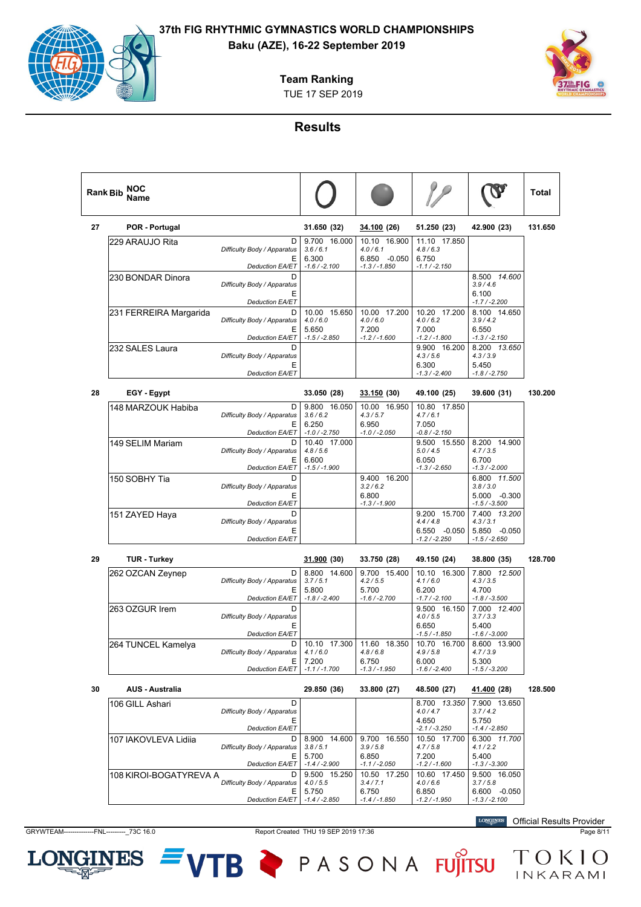## **Baku (AZE), 16-22 September 2019**

## **Team Ranking**

TUE 17 SEP 2019

## **Results**

|    | Name                   |                                                     |                                       |                                           |                                         | $\bullet$                                 |         |
|----|------------------------|-----------------------------------------------------|---------------------------------------|-------------------------------------------|-----------------------------------------|-------------------------------------------|---------|
| 27 | POR - Portugal         |                                                     | 31.650 (32)                           | 34.100 (26)                               | 51.250 (23)                             | 42.900 (23)                               | 131.650 |
|    | 229 ARAUJO Rita        | D<br>Difficulty Body / Apparatus<br>Е               | 9.700 16.000<br>3.6/6.1<br>6.300      | 10.10 16.900<br>4.0 / 6.1<br>6.850 -0.050 | 11.10 17.850<br>4.8/6.3<br>6.750        |                                           |         |
|    |                        | Deduction EA/ET                                     | $-1.6 / -2.100$                       | $-1.3 / -1.850$                           | $-1.1 / -2.150$                         |                                           |         |
|    | 230 BONDAR Dinora      | D<br>Difficulty Body / Apparatus<br>Ε               |                                       |                                           |                                         | 8.500 14.600<br>3.9/4.6<br>6.100          |         |
|    | 231 FERREIRA Margarida | Deduction EA/ET<br>D                                | 10.00 15.650                          | 10.00 17.200                              | 10.20 17.200                            | $-1.7 / -2.200$<br>8.100 14.650           |         |
|    |                        | Difficulty Body / Apparatus<br>Е<br>Deduction EA/ET | 4.0 / 6.0<br>5.650<br>$-1.5 / -2.850$ | 4.0 / 6.0<br>7.200<br>$-1.2 / -1.600$     | 4.0/6.2<br>7.000<br>$-1.2 / -1.800$     | 3.9/4.2<br>6.550<br>$-1.3 / -2.150$       |         |
|    | 232 SALES Laura        | D                                                   |                                       |                                           | 9.900 16.200                            | 8.200 13.650                              |         |
|    |                        | Difficulty Body / Apparatus<br>Ε<br>Deduction EA/ET |                                       |                                           | 4.3/5.6<br>6.300<br>$-1.3 / -2.400$     | 4.3 / 3.9<br>5.450<br>$-1.8 / -2.750$     |         |
| 28 | EGY - Egypt            |                                                     | 33.050 (28)                           | 33.150 (30)                               | 49.100 (25)                             | 39.600 (31)                               | 130.200 |
|    | 148 MARZOUK Habiba     | D<br>Difficulty Body / Apparatus<br>Е               | 9.800 16.050<br>3.6/6.2<br>6.250      | 10.00 16.950<br>4.3 / 5.7<br>6.950        | 10.80 17.850<br>4.7/6.1<br>7.050        |                                           |         |
|    |                        | Deduction EA/ET                                     | $-1.0 / -2.750$                       | $-1.0 / -2.050$                           | -0.8 / -2.150                           |                                           |         |
|    | 149 SELIM Mariam       | D<br>Difficulty Body / Apparatus                    | 10.40 17.000<br>4.8/5.6               |                                           | 9.500 15.550<br>5.0 / 4.5               | 8.200 14.900<br>4.7 / 3.5                 |         |
|    |                        | Ε<br>Deduction EA/ET                                | 6.600<br>$-1.5/ -1.900$               |                                           | 6.050<br>$-1.3 / -2.650$                | 6.700<br>$-1.3 / -2.000$                  |         |
|    | 150 SOBHY Tia          | D<br>Difficulty Body / Apparatus<br>Ε               |                                       | 9.400 16.200<br>3.2 / 6.2<br>6.800        |                                         | 6.800 11.500<br>3.8 / 3.0<br>5.000 -0.300 |         |
|    |                        | <b>Deduction EA/ET</b>                              |                                       | $-1.3 / -1.900$                           |                                         | $-1.5 / -3.500$                           |         |
|    | 151 ZAYED Haya         | D<br>Difficulty Body / Apparatus<br>Ε               |                                       |                                           | 9.200 15.700<br>4.4/4.8<br>6.550 -0.050 | 7.400 13.200<br>4.3 / 3.1<br>5.850 -0.050 |         |
|    |                        | <b>Deduction EA/ET</b>                              |                                       |                                           | -1.2 / -2.250                           | $-1.5 / -2.650$                           |         |
| 29 | <b>TUR - Turkey</b>    |                                                     | 31.900 (30)                           | 33.750 (28)                               | 49.150 (24)                             | 38.800 (35)                               | 128.700 |
|    | 262 OZCAN Zeynep       | D<br>Difficulty Body / Apparatus<br>Ε               | 8.800 14.600<br>3.7/5.1<br>5.800      | 9.700 15.400<br>4.2 / 5.5<br>5.700        | 10.10 16.300<br>4.1/6.0<br>6.200        | 7.800 12.500<br>4.3 / 3.5<br>4.700        |         |
|    | 263 OZGUR Irem         | Deduction EA/ET<br>D                                | $-1.8 / -2.400$                       | $-1.6 / -2.700$                           | -1.7 / -2.100<br>9.500 16.150           | $-1.8 / -3.500$<br>7.000 12.400           |         |
|    |                        | Difficulty Body / Apparatus<br>Ε                    |                                       |                                           | 4.0 / 5.5<br>6.650                      | 3.7 / 3.3<br>5.400                        |         |
|    | 264 TUNCEL Kamelya     | <b>Deduction EA/ET</b><br>D                         | 10.10 17.300                          | 11.60 18.350                              | $-1.5 / -1.850$<br>10.70 16.700         | $-1.6 / -3.000$<br>8.600 13.900           |         |
|    |                        | Difficulty Body / Apparatus   4.1 / 6.0<br>Е.       | 7.200                                 | 4.8 / 6.8<br>6.750                        | 4.9 / 5.8<br>6.000                      | 4.7 / 3.9<br>5.300                        |         |
|    |                        | Deduction EA/ET   -1.1 / -1.700                     |                                       | $-1.3 / -1.950$                           | $-1.6 / -2.400$                         | $-1.5 / -3.200$                           |         |
| 30 | <b>AUS - Australia</b> |                                                     | 29.850 (36)                           | 33.800 (27)                               | 48.500 (27)                             | 41.400 (28)                               | 128.500 |
|    | 106 GILL Ashari        | D<br>Difficulty Body / Apparatus<br>Е               |                                       |                                           | 8.700 13.350<br>4.0 / 4.7<br>4.650      | 7.900 13.650<br>3.7/4.2<br>5.750          |         |
|    |                        | Deduction EA/ET                                     |                                       |                                           | $-2.1 / -3.250$                         | $-1.4 / -2.850$                           |         |
|    | 107 IAKOVLEVA Lidiia   | D<br>Difficulty Body / Apparatus<br>Е               | 8.900 14.600<br>3.8/5.1<br>5.700      | 9.700 16.550<br>3.9/5.8<br>6.850          | 10.50 17.700<br>4.7/5.8<br>7.200        | 6.300 11.700<br>4.1 / 2.2<br>5.400        |         |
|    |                        | Deduction EA/ET                                     | $-1.4/ -2.900$                        | $-1.1 / -2.050$                           | $-1.2 / -1.600$                         | $-1.3 / -3.300$                           |         |
|    | 108 KIROI-BOGATYREVA A | D<br>Difficulty Body / Apparatus<br>E.              | 9.500 15.250<br>4.0 / 5.5<br>5.750    | 10.50 17.250<br>3.4/7.1<br>6.750          | 10.60 17.450<br>4.0/6.6<br>6.850        | 9.500 16.050<br>3.7/5.8<br>6.600 -0.050   |         |
|    |                        | Deduction EA/ET   -1.4 / -2.850                     |                                       | $-1.4 / -1.850$                           | $-1.2 / -1.950$                         | $-1.3 / -2.100$                           |         |

LONGINES  $=$  VTB  $\triangleright$  PASONA FUJITSU  $_{INKARAMI}^{TOKIO}$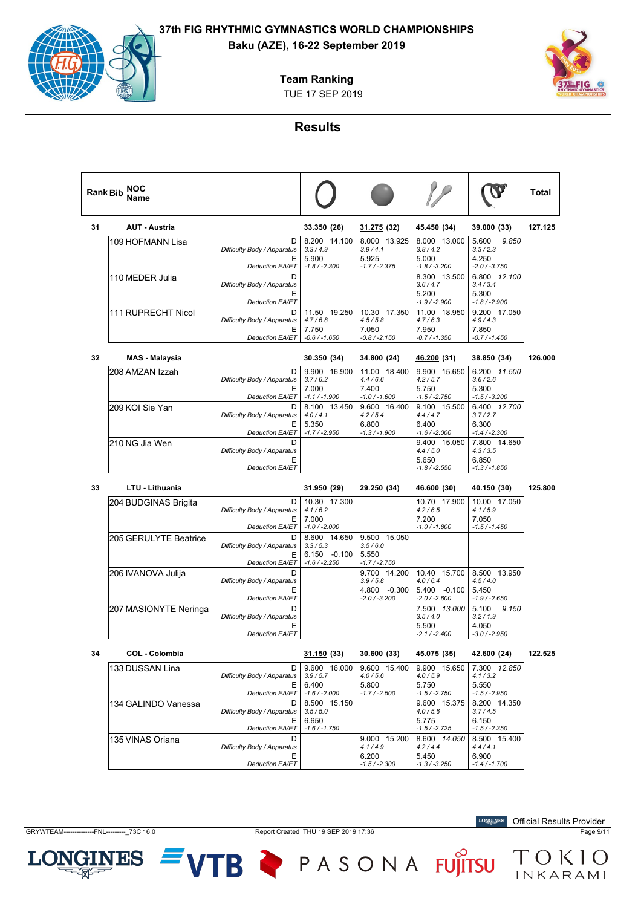# **Team Ranking**

TUE 17 SEP 2019



## **Results**

|    | NOC<br><b>Rank Bib</b><br>Name |                                                                 |                                         |                                                       |                                                     |                                                       | Total   |
|----|--------------------------------|-----------------------------------------------------------------|-----------------------------------------|-------------------------------------------------------|-----------------------------------------------------|-------------------------------------------------------|---------|
| 31 | <b>AUT - Austria</b>           |                                                                 | 33.350 (26)                             | <u>31.275</u> (32)                                    | 45.450 (34)                                         | 39.000 (33)                                           | 127.125 |
|    | 109 HOFMANN Lisa               | D<br>Difficulty Body / Apparatus                                | 8.200 14.100<br>3.3/4.9                 | 8.000 13.925<br>3.9/4.1                               | 8.000 13.000<br>3.8/4.2                             | 9.850<br>5.600<br>3.3 / 2.3                           |         |
|    |                                | Ε<br><b>Deduction EA/ET</b>                                     | 5.900<br>$-1.8 / -2.300$                | 5.925<br>$-1.7 / -2.375$                              | 5.000<br>$-1.8 / -3.200$                            | 4.250<br>$-2.0 / -3.750$                              |         |
|    | 110 MEDER Julia                | D<br>Difficulty Body / Apparatus                                |                                         |                                                       | 8.300 13.500<br>3.6 / 4.7                           | 6.800 12.100<br>3.4 / 3.4                             |         |
|    |                                | Ε<br><b>Deduction EA/ET</b>                                     |                                         |                                                       | 5.200<br>-1.9 / -2.900                              | 5.300<br>$-1.8 / -2.900$                              |         |
|    | 111 RUPRECHT Nicol             | D<br>Difficulty Body / Apparatus<br>Ε                           | 11.50 19.250<br>4.7/6.8<br>7.750        | 10.30 17.350<br>4.5/5.8<br>7.050                      | 11.00 18.950<br>4.7/6.3<br>7.950                    | 9.200 17.050<br>4.9/4.3<br>7.850                      |         |
|    |                                | Deduction EA/ET                                                 | $-0.6 / -1.650$                         | -0.8 / -2.150                                         | $-0.7 / -1.350$                                     | $-0.7 / -1.450$                                       |         |
| 32 | MAS - Malaysia                 |                                                                 | 30.350 (34)                             | 34.800 (24)                                           | <u>46.200</u> (31)                                  | 38.850 (34)                                           | 126.000 |
|    | 208 AMZAN Izzah                | D<br>Difficulty Body / Apparatus<br>Е                           | 9.900 16.900<br>3.7/6.2<br>7.000        | 11.00 18.400<br>4.4/6.6<br>7.400                      | 9.900 15.650<br>4.2/5.7<br>5.750                    | 6.200 11.500<br>3.6/2.6<br>5.300                      |         |
|    | 209 KOI Sie Yan                | <b>Deduction EA/ET</b><br>D                                     | $-1.1 / -1.900$<br>8.100 13.450         | $-1.0 / -1.600$<br>9.600 16.400                       | $-1.5 / -2.750$<br>9.100 15.500                     | $-1.5 / -3.200$<br>6.400 12.700                       |         |
|    |                                | Difficulty Body / Apparatus<br>Ε<br>Deduction EA/ET             | 4.0 / 4.1<br>5.350<br>$-1.7 / -2.950$   | 4.2 / 5.4<br>6.800<br>$-1.3 / -1.900$                 | 4.4/4.7<br>6.400<br>$-1.6 / -2.000$                 | 3.7/2.7<br>6.300<br>$-1.4 / -2.300$                   |         |
|    | 210 NG Jia Wen                 | D<br>Difficulty Body / Apparatus                                |                                         |                                                       | 9.400 15.050<br>4.4/5.0                             | 7.800 14.650<br>4.3 / 3.5                             |         |
|    |                                | Ε<br><b>Deduction EA/ET</b>                                     |                                         |                                                       | 5.650<br>$-1.8 / -2.550$                            | 6.850<br>$-1.3 / -1.850$                              |         |
|    |                                |                                                                 |                                         |                                                       |                                                     |                                                       |         |
| 33 | <b>LTU - Lithuania</b>         |                                                                 | 31.950 (29)                             | 29.250 (34)                                           | 46.600 (30)                                         | <u>40.150</u> (30)                                    | 125.800 |
|    | 204 BUDGINAS Brigita           | D<br>Difficulty Body / Apparatus                                | 10.30 17.300<br>4.1/6.2                 |                                                       | 10.70 17.900<br>4.2/6.5                             | 10.00 17.050<br>4.1/5.9                               |         |
|    |                                | Е<br><b>Deduction EA/ET</b>                                     | 7.000<br>$-1.0 / -2.000$                |                                                       | 7.200<br>$-1.0 / -1.800$                            | 7.050<br>$-1.5 / -1.450$                              |         |
|    | 205 GERULYTE Beatrice          | D<br>Difficulty Body / Apparatus<br>Ε                           | 8.600 14.650<br>3.3/5.3<br>6.150 -0.100 | 9.500 15.050<br>3.5/6.0<br>5.550                      |                                                     |                                                       |         |
|    |                                | <b>Deduction EA/ET</b>                                          | $-1.6 / -2.250$                         | $-1.7 / -2.750$                                       |                                                     |                                                       |         |
|    | 206 IVANOVA Julija             | D<br>Difficulty Body / Apparatus                                |                                         | 9.700 14.200<br>3.9/5.8                               | 10.40 15.700<br>4.0/6.4                             | 8.500 13.950<br>4.5/4.0                               |         |
|    |                                | Ε<br><b>Deduction EA/ET</b>                                     |                                         | 4.800 -0.300<br>$-2.0 / -3.200$                       | 5.400 -0.100<br>$-2.0 / -2.600$                     | 5.450<br>$-1.9/ -2.650$                               |         |
|    | 207 MASIONYTE Neringa          | D<br>Difficulty Body / Apparatus                                |                                         |                                                       | 7.500 13.000<br>3.5/4.0<br>5.500                    | 5.100<br>9.150<br>3.2 / 1.9                           |         |
|    |                                | Ε<br><b>Deduction EA/ET</b>                                     |                                         |                                                       | $-2.1 / -2.400$                                     | 4.050<br>$-3.0 / -2.950$                              |         |
| 34 | <b>COL - Colombia</b>          |                                                                 | <u>31.150</u> (33)                      | 30.600 (33)                                           | 45.075 (35)                                         | 42.600 (24)                                           | 122.525 |
|    | 133 DUSSAN Lina                | D<br>Difficulty Body / Apparatus                                | 9.600 16.000<br>3.9/5.7                 | 9.600 15.400<br>4.0 / 5.6                             | 9.900 15.650<br>4.0 / 5.9                           | 7.300 12.850<br>4.1 / 3.2                             |         |
|    |                                | Ε<br>Deduction EA/ET                                            | 6.400<br>$-1.6 / -2.000$                | 5.800<br>$-1.7 / -2.500$                              | 5.750<br>$-1.5 / -2.750$                            | 5.550<br>$-1.5 / -2.950$                              |         |
|    | 134 GALINDO Vanessa            | D<br>Difficulty Body / Apparatus<br>Ε                           | 8.500 15.150<br>3.5/5.0<br>6.650        |                                                       | 9.600 15.375<br>4.0 / 5.6<br>5.775                  | 8.200 14.350<br>3.7/4.5<br>6.150                      |         |
|    |                                | <b>Deduction EA/ET</b>                                          | $-1.6 / -1.750$                         |                                                       | $-1.5/ -2.725$                                      | $-1.5 / -2.350$                                       |         |
|    | 135 VINAS Oriana               | D<br>Difficulty Body / Apparatus<br>Ε<br><b>Deduction EA/ET</b> |                                         | 9.000 15.200<br>4.1 / 4.9<br>6.200<br>$-1.5 / -2.300$ | 8.600 14.050<br>4.2/4.4<br>5.450<br>$-1.3 / -3.250$ | 8.500 15.400<br>4.4 / 4.1<br>6.900<br>$-1.4 / -1.700$ |         |

GRYWTEAM--------------FNL---------\_73C 16.0 Report Created THU 19 SEP 2019 17:36 Page 9/11

LON

**INES** 

VTB PASONA FUJITSU TOKIO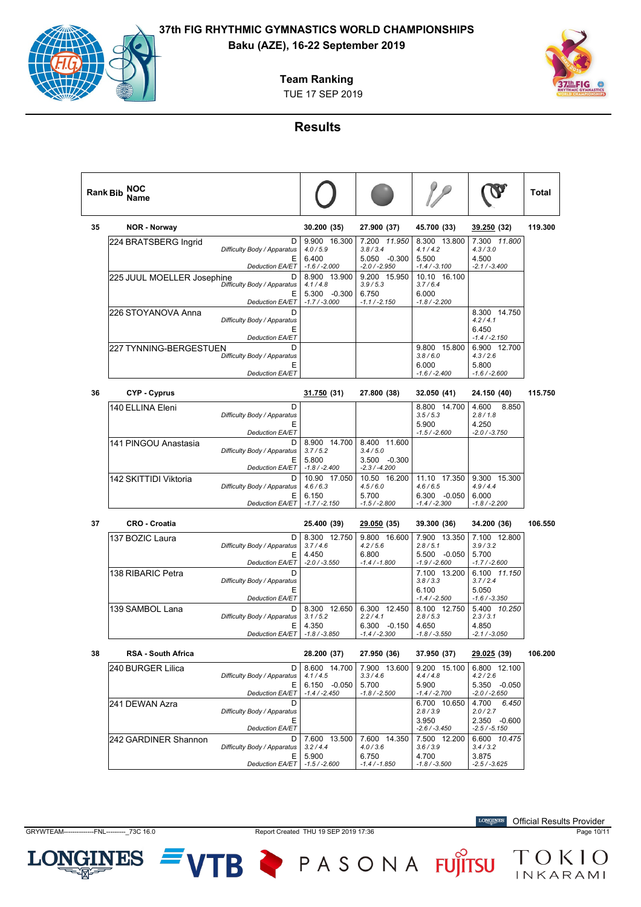# **Baku (AZE), 16-22 September 2019**

**Team Ranking**

TUE 17 SEP 2019



## **Results**

|    | NOC<br><b>Rank Bib</b><br>Name |                                       |                                           |                                           |                                         |                                             | Total   |
|----|--------------------------------|---------------------------------------|-------------------------------------------|-------------------------------------------|-----------------------------------------|---------------------------------------------|---------|
| 35 | <b>NOR - Norway</b>            |                                       | 30.200 (35)                               | 27.900 (37)                               | 45.700 (33)                             | 39.250 (32)                                 | 119.300 |
|    | 224 BRATSBERG Ingrid           | D<br>Difficulty Body / Apparatus      | 9.900 16.300<br>4.0 / 5.9                 | 7.200 11.950<br>3.8 / 3.4                 | 8.300 13.800<br>4.1/4.2                 | 7.300 11.800<br>4.3 / 3.0                   |         |
|    |                                | Ε<br><b>Deduction EA/ET</b>           | 6.400<br>$-1.6 / -2.000$                  | 5.050 -0.300<br>$-2.0 / -2.950$           | 5.500<br>$-1.4 / -3.100$                | 4.500<br>$-2.1 / -3.400$                    |         |
|    | 225 JUUL MOELLER Josephine     | D<br>Difficulty Body / Apparatus      | 8.900 13.900<br>4.1 / 4.8                 | 9.200 15.950<br>3.9 / 5.3                 | 10.10 16.100<br>3.7/6.4                 |                                             |         |
|    |                                | Ε<br><b>Deduction EA/ET</b>           | 5.300 -0.300<br>$-1.7 / -3.000$           | 6.750<br>$-1.1 / -2.150$                  | 6.000<br>$-1.8/ -2.200$                 |                                             |         |
|    | 226 STOYANOVA Anna             | D<br>Difficulty Body / Apparatus<br>Ε |                                           |                                           |                                         | 8.300 14.750<br>4.2 / 4.1<br>6.450          |         |
|    |                                | <b>Deduction EA/ET</b>                |                                           |                                           |                                         | $-1.4 / -2.150$                             |         |
|    | 227 TYNNING-BERGESTUEN         | D<br>Difficulty Body / Apparatus<br>Ε |                                           |                                           | 9.800 15.800<br>3.8/6.0<br>6.000        | 6.900 12.700<br>4.3/2.6<br>5.800            |         |
|    |                                | <b>Deduction EA/ET</b>                |                                           |                                           | $-1.6 / -2.400$                         | $-1.6 / -2.600$                             |         |
| 36 | CYP - Cyprus                   |                                       | 31.750 (31)                               | 27.800 (38)                               | 32.050 (41)                             | 24.150 (40)                                 | 115.750 |
|    | 140 ELLINA Eleni               | D<br>Difficulty Body / Apparatus<br>Е |                                           |                                           | 8.800 14.700<br>3.5/5.3<br>5.900        | 4.600<br>8.850<br>2.8/1.8<br>4.250          |         |
|    |                                | <b>Deduction EA/ET</b>                |                                           |                                           | -1.5 / -2.600                           | $-2.0$ / $-3.750$                           |         |
|    | 141 PINGOU Anastasia           | D<br>Difficulty Body / Apparatus<br>Е | 8.900 14.700<br>3.7/5.2<br>5.800          | 8.400 11.600<br>3.4/5.0<br>3.500 -0.300   |                                         |                                             |         |
|    |                                | Deduction EA/ET                       | $-1.8 / -2.400$                           | $-2.3 / -4.200$                           |                                         |                                             |         |
|    | 142 SKITTIDI Viktoria          | D<br>Difficulty Body / Apparatus<br>Е | 10.90 17.050<br>4.6/6.3<br>6.150          | 10.50 16.200<br>4.5/6.0<br>5.700          | 11.10 17.350<br>4.6/6.5<br>6.300 -0.050 | 9.300 15.300<br>4.9/4.4<br>6.000            |         |
|    |                                | <b>Deduction EA/ET</b>                | $-1.7/ -2.150$                            | $-1.5 / -2.800$                           | $-1.4 / -2.300$                         | $-1.8 / -2.200$                             |         |
| 37 | <b>CRO - Croatia</b>           |                                       | 25.400 (39)                               | <u>29.050</u> (35)                        | 39.300 (36)                             | 34.200 (36)                                 | 106.550 |
|    | 137 BOZIC Laura                | D<br>Difficulty Body / Apparatus      | 8.300 12.750<br>3.7/4.6                   | 9.800 16.600<br>4.2 / 5.6                 | 7.900 13.350<br>2.8/5.1                 | 7.100 12.800<br>3.9 / 3.2                   |         |
|    |                                | Ε<br><b>Deduction EA/ET</b>           | 4.450<br>$-2.0 / -3.550$                  | 6.800<br>$-1.4 / -1.800$                  | 5.500 -0.050<br>-1.9 / -2.600           | 5.700<br>$-1.7 / -2.600$                    |         |
|    | 138 RIBARIC Petra              | D<br>Difficulty Body / Apparatus<br>Е |                                           |                                           | 7.100 13.200<br>3.8 / 3.3<br>6.100      | 6.100 11.150<br>3.7/2.4<br>5.050            |         |
|    |                                | <b>Deduction EA/ET</b>                |                                           |                                           | $-1.4 / -2.500$                         | $-1.6 / -3.350$                             |         |
|    | 139 SAMBOL Lana                | D<br>Difficulty Body / Apparatus<br>Е | 8.300 12.650<br>3.1 / 5.2<br>4.350        | 6.300 12.450<br>2.2/4.1<br>$6.300 -0.150$ | 8.100 12.750<br>2.8/5.3<br>4.650        | 5.400 10.250<br>2.3/3.1<br>4.850            |         |
|    |                                | Deduction EA/ET                       | $-1.8 / -3.850$                           | $-1.4 / -2.300$                           | $-1.8 / -3.550$                         | -2.1 / -3.050                               |         |
| 38 | <b>RSA - South Africa</b>      |                                       | 28.200 (37)                               | 27.950 (36)                               | 37.950 (37)                             | <u>29.025</u> (39)                          | 106.200 |
|    | 240 BURGER Lilica              | D<br>Difficulty Body / Apparatus<br>Ε | 8.600 14.700<br>4.1 / 4.5<br>6.150 -0.050 | 7.900 13.600<br>3.3/4.6<br>5.700          | 9.200 15.100<br>4.4/4.8<br>5.900        | 6.800 12.100<br>4.2 / 2.6<br>5.350 -0.050   |         |
|    |                                | <b>Deduction EA/ET</b>                | $-1.4 / -2.450$                           | $-1.8 / -2.500$                           | $-1.4 / -2.700$                         | $-2.0 / -2.650$                             |         |
|    | 241 DEWAN Azra                 | D<br>Difficulty Body / Apparatus<br>Ε |                                           |                                           | 6.700 10.650<br>2.8/3.9<br>3.950        | 4.700<br>6.450<br>2.0 / 2.7<br>2.350 -0.600 |         |
|    |                                | Deduction EA/ET                       | 7.600 13.500                              |                                           | $-2.6 / -3.450$                         | $-2.5 / -5.150$                             |         |
|    | 242 GARDINER Shannon           | D<br>Difficulty Body / Apparatus<br>Е | 3.2 / 4.4<br>5.900                        | 7.600 14.350<br>4.0 / 3.6<br>6.750        | 7.500 12.200<br>3.6 / 3.9<br>4.700      | 6.600 10.475<br>3.4 / 3.2<br>3.875          |         |
|    |                                | Deduction EA/ET                       | $-1.5 / -2.600$                           | $-1.4 / -1.850$                           | $-1.8 / -3.500$                         | $-2.5 / -3.625$                             |         |

**LONG** 

INES

GRYWTEAM--------------FNL---------\_73C 16.0 Report Created THU 19 SEP 2019 17:36 Page 10/11

VTB PASONA FUJITSU TOKIO